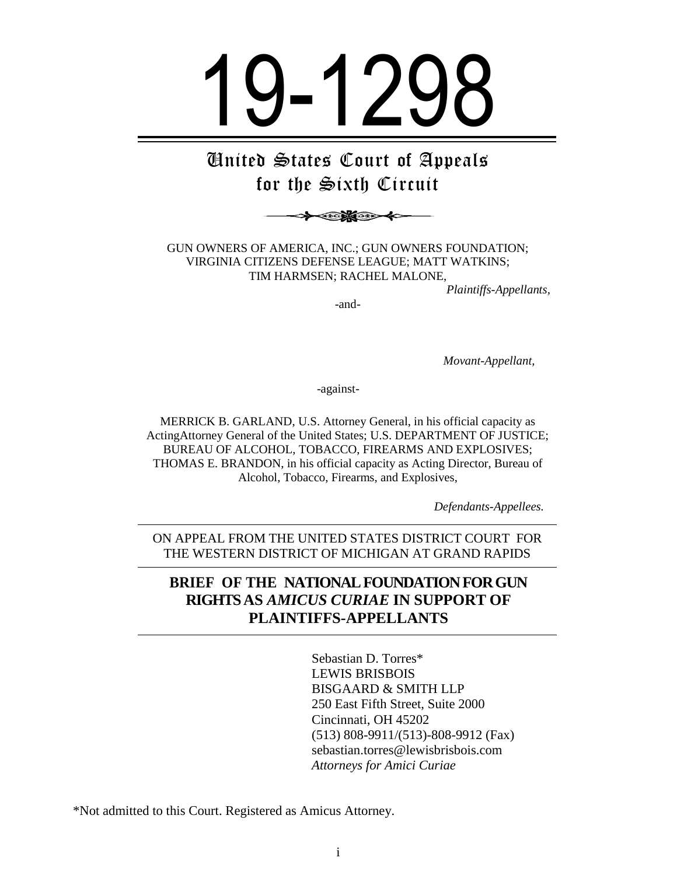# <span id="page-0-0"></span>19-1298

## United States Court of Appeals for the Sixth Circuit



GUN OWNERS OF AMERICA, INC.; GUN OWNERS FOUNDATION; VIRGINIA CITIZENS DEFENSE LEAGUE; MATT WATKINS; TIM HARMSEN; RACHEL MALONE,

*Plaintiffs-Appellants,*

-and-

 *Movant-Appellant,*

-against-

MERRICK B. GARLAND, U.S. Attorney General, in his official capacity as ActingAttorney General of the United States; U.S. DEPARTMENT OF JUSTICE; BUREAU OF ALCOHOL, TOBACCO, FIREARMS AND EXPLOSIVES; THOMAS E. BRANDON, in his official capacity as Acting Director, Bureau of Alcohol, Tobacco, Firearms, and Explosives,

*Defendants-Appellees.*

ON APPEAL FROM THE UNITED STATES DISTRICT COURT FOR THE WESTERN DISTRICT OF MICHIGAN AT GRAND RAPIDS

#### **BRIEF OF THE NATIONAL FOUNDATION FOR GUN RIGHTS AS** *AMICUS CURIAE* **IN SUPPORT OF PLAINTIFFS-APPELLANTS**

Sebastian D. Torres\* LEWIS BRISBOIS BISGAARD & SMITH LLP 250 East Fifth Street, Suite 2000 Cincinnati, OH 45202 (513) 808-9911/(513)-808-9912 (Fax) sebastian.torres@lewisbrisbois.com *Attorneys for Amici Curiae*

\*Not admitted to this Court. Registered as Amicus Attorney.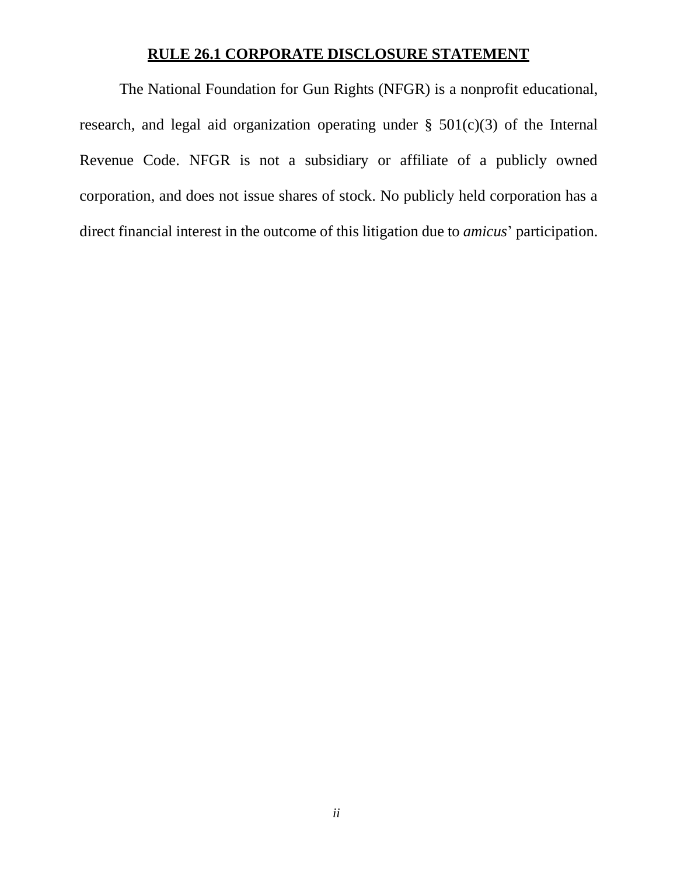#### **RULE 26.1 CORPORATE DISCLOSURE STATEMENT**

The National Foundation for Gun Rights (NFGR) is a nonprofit educational, research, and legal aid organization operating under  $\S$  501(c)(3) of the Internal Revenue Code. NFGR is not a subsidiary or affiliate of a publicly owned corporation, and does not issue shares of stock. No publicly held corporation has a direct financial interest in the outcome of this litigation due to *amicus*' participation.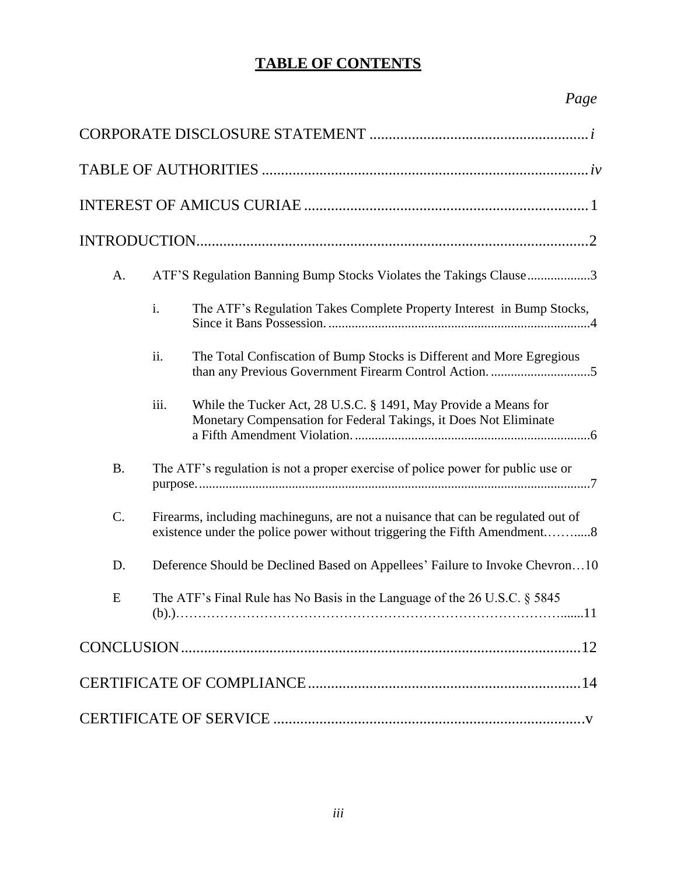## **TABLE OF CONTENTS**

## *Page*

| A.        | ATF'S Regulation Banning Bump Stocks Violates the Takings Clause3                                                                                            |                                                                                                                                     |  |
|-----------|--------------------------------------------------------------------------------------------------------------------------------------------------------------|-------------------------------------------------------------------------------------------------------------------------------------|--|
|           | i.                                                                                                                                                           | The ATF's Regulation Takes Complete Property Interest in Bump Stocks,                                                               |  |
|           | ii.                                                                                                                                                          | The Total Confiscation of Bump Stocks is Different and More Egregious                                                               |  |
|           | iii.                                                                                                                                                         | While the Tucker Act, 28 U.S.C. § 1491, May Provide a Means for<br>Monetary Compensation for Federal Takings, it Does Not Eliminate |  |
| <b>B.</b> |                                                                                                                                                              | The ATF's regulation is not a proper exercise of police power for public use or                                                     |  |
| $C$ .     | Firearms, including machineguns, are not a nuisance that can be regulated out of<br>existence under the police power without triggering the Fifth Amendment8 |                                                                                                                                     |  |
| D.        | Deference Should be Declined Based on Appellees' Failure to Invoke Chevron10                                                                                 |                                                                                                                                     |  |
| E         | The ATF's Final Rule has No Basis in the Language of the 26 U.S.C. § 5845                                                                                    |                                                                                                                                     |  |
|           |                                                                                                                                                              |                                                                                                                                     |  |
|           |                                                                                                                                                              |                                                                                                                                     |  |
|           |                                                                                                                                                              |                                                                                                                                     |  |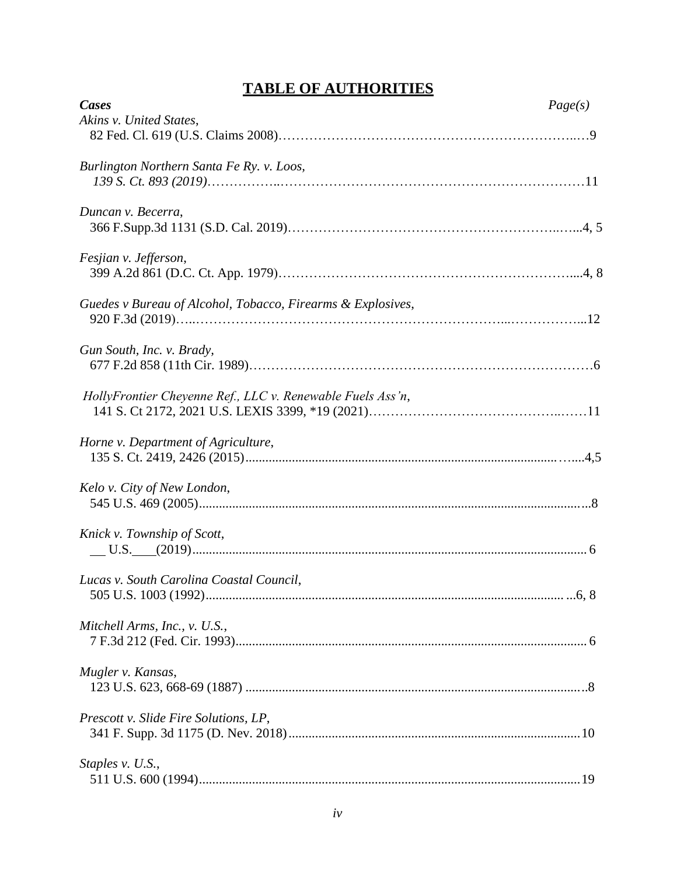## **TABLE OF AUTHORITIES**

| Cases                                                       | Page(s) |
|-------------------------------------------------------------|---------|
| Akins v. United States,                                     |         |
| Burlington Northern Santa Fe Ry. v. Loos,                   |         |
| Duncan v. Becerra,                                          |         |
| Fesjian v. Jefferson,                                       |         |
| Guedes v Bureau of Alcohol, Tobacco, Firearms & Explosives, |         |
| Gun South, Inc. v. Brady,                                   |         |
| HollyFrontier Cheyenne Ref., LLC v. Renewable Fuels Ass'n,  |         |
| Horne v. Department of Agriculture,                         |         |
| Kelo v. City of New London,                                 |         |
| Knick v. Township of Scott,                                 |         |
| Lucas v. South Carolina Coastal Council,                    |         |
| Mitchell Arms, Inc., v. U.S.,                               |         |
| Mugler v. Kansas,                                           |         |
| Prescott v. Slide Fire Solutions, LP,                       |         |
| Staples v. U.S.,                                            |         |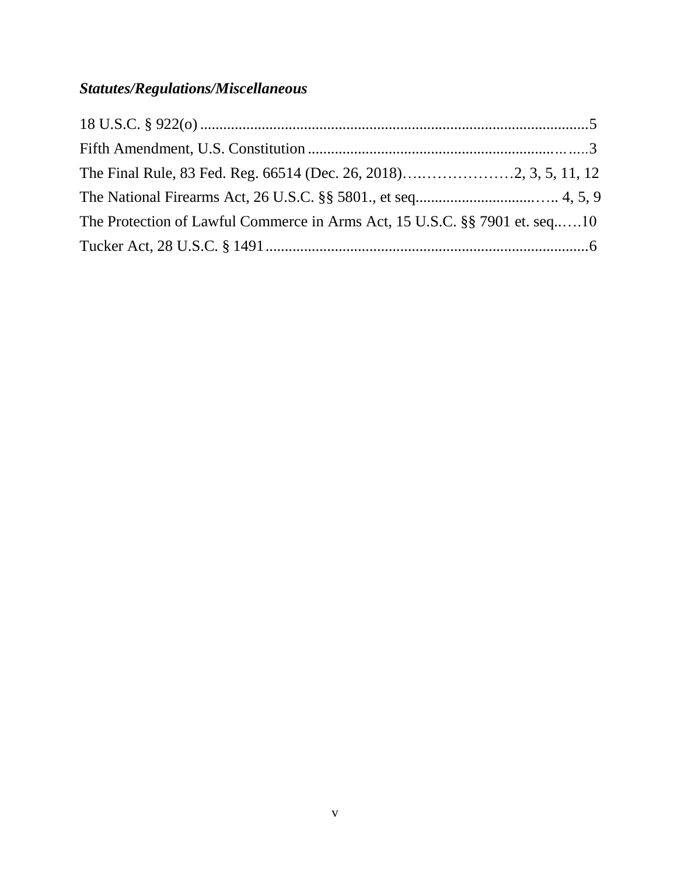# *Statutes/Regulations/Miscellaneous*

| The Protection of Lawful Commerce in Arms Act, 15 U.S.C. §§ 7901 et. seq10 |  |
|----------------------------------------------------------------------------|--|
|                                                                            |  |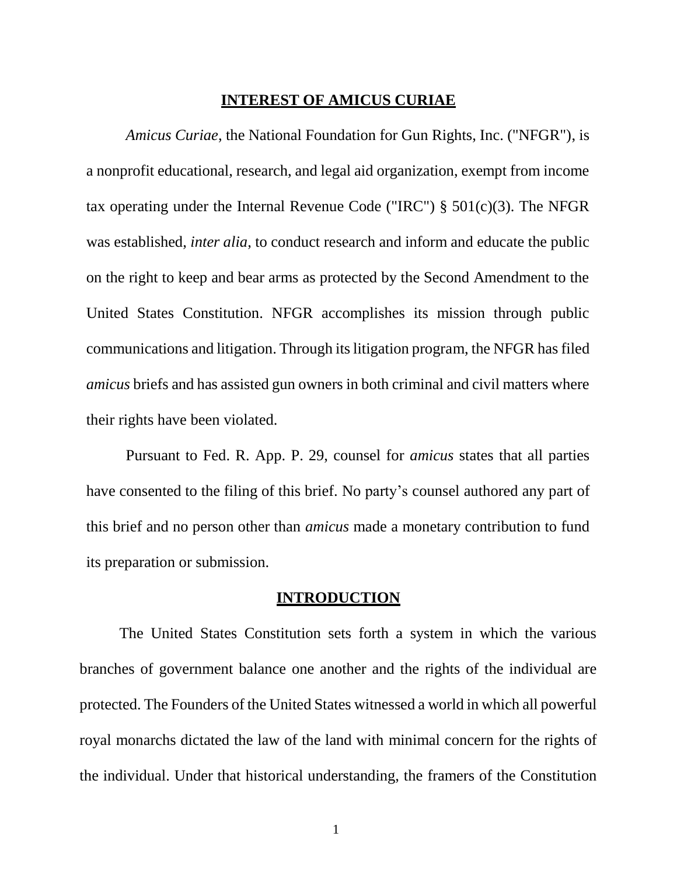#### **INTEREST OF AMICUS CURIAE**

*Amicus Curiae*, the National Foundation for Gun Rights, Inc. ("NFGR"), is a nonprofit educational, research, and legal aid organization, exempt from income tax operating under the Internal Revenue Code ("IRC")  $\S$  501(c)(3). The NFGR was established, *inter alia*, to conduct research and inform and educate the public on the right to keep and bear arms as protected by the Second Amendment to the United States Constitution. NFGR accomplishes its mission through public communications and litigation. Through its litigation program, the NFGR has filed *amicus* briefs and has assisted gun owners in both criminal and civil matters where their rights have been violated.

Pursuant to Fed. R. App. P. 29, counsel for *amicus* states that all parties have consented to the filing of this brief. No party's counsel authored any part of this brief and no person other than *amicus* made a monetary contribution to fund its preparation or submission.

#### **INTRODUCTION**

The United States Constitution sets forth a system in which the various branches of government balance one another and the rights of the individual are protected. The Founders of the United States witnessed a world in which all powerful royal monarchs dictated the law of the land with minimal concern for the rights of the individual. Under that historical understanding, the framers of the Constitution

1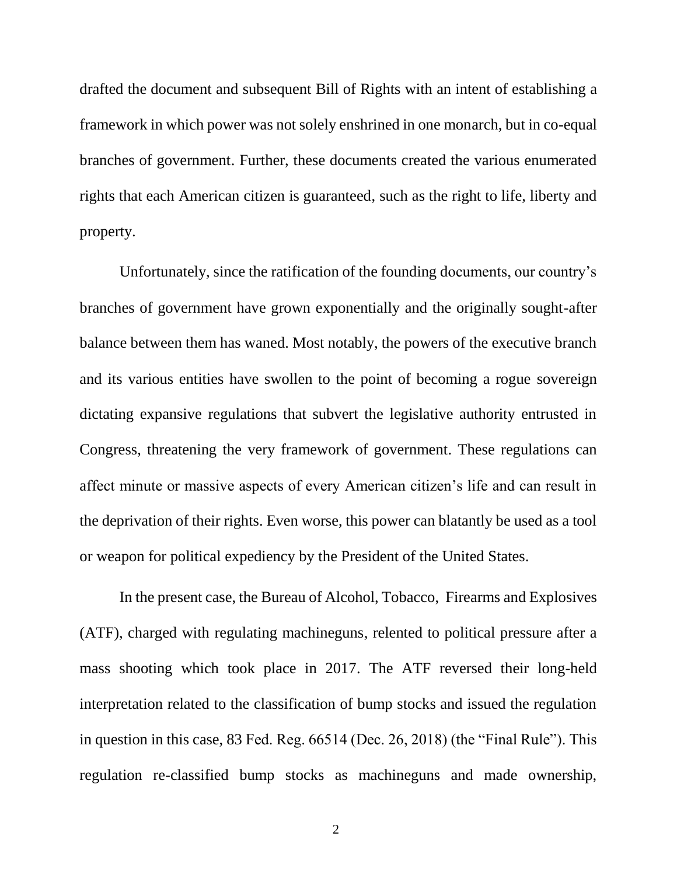drafted the document and subsequent Bill of Rights with an intent of establishing a framework in which power was not solely enshrined in one monarch, but in co-equal branches of government. Further, these documents created the various enumerated rights that each American citizen is guaranteed, such as the right to life, liberty and property.

Unfortunately, since the ratification of the founding documents, our country's branches of government have grown exponentially and the originally sought-after balance between them has waned. Most notably, the powers of the executive branch and its various entities have swollen to the point of becoming a rogue sovereign dictating expansive regulations that subvert the legislative authority entrusted in Congress, threatening the very framework of government. These regulations can affect minute or massive aspects of every American citizen's life and can result in the deprivation of their rights. Even worse, this power can blatantly be used as a tool or weapon for political expediency by the President of the United States.

In the present case, the Bureau of Alcohol, Tobacco, Firearms and Explosives (ATF), charged with regulating machineguns, relented to political pressure after a mass shooting which took place in 2017. The ATF reversed their long-held interpretation related to the classification of bump stocks and issued the regulation in question in this case, 83 Fed. Reg. 66514 (Dec. 26, 2018) (the "Final Rule"). This regulation re-classified bump stocks as machineguns and made ownership,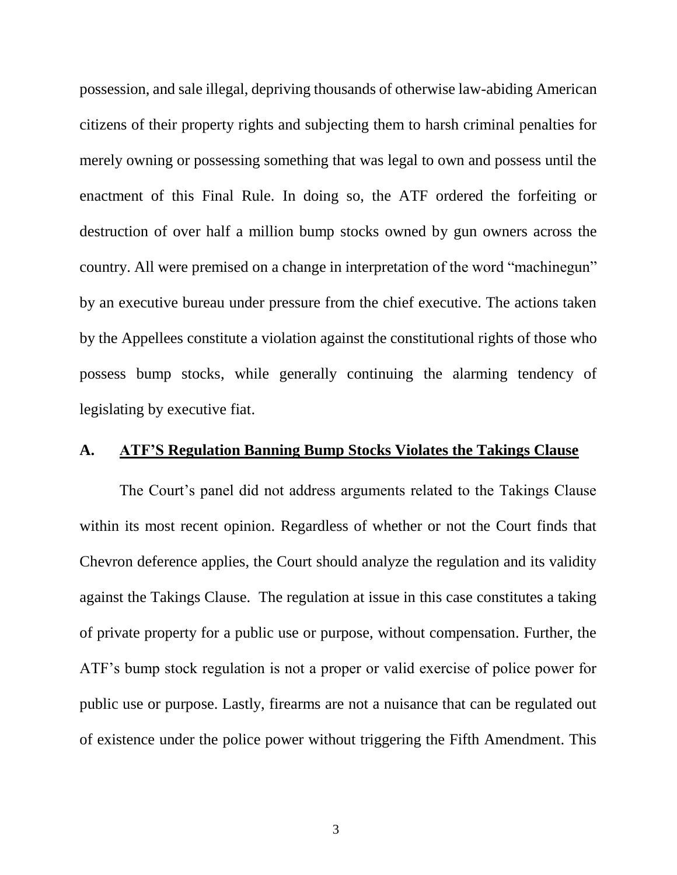possession, and sale illegal, depriving thousands of otherwise law-abiding American citizens of their property rights and subjecting them to harsh criminal penalties for merely owning or possessing something that was legal to own and possess until the enactment of this Final Rule. In doing so, the ATF ordered the forfeiting or destruction of over half a million bump stocks owned by gun owners across the country. All were premised on a change in interpretation of the word "machinegun" by an executive bureau under pressure from the chief executive. The actions taken by the Appellees constitute a violation against the constitutional rights of those who possess bump stocks, while generally continuing the alarming tendency of legislating by executive fiat.

#### **A. ATF'S Regulation Banning Bump Stocks Violates the Takings Clause**

The Court's panel did not address arguments related to the Takings Clause within its most recent opinion. Regardless of whether or not the Court finds that Chevron deference applies, the Court should analyze the regulation and its validity against the Takings Clause. The regulation at issue in this case constitutes a taking of private property for a public use or purpose, without compensation. Further, the ATF's bump stock regulation is not a proper or valid exercise of police power for public use or purpose. Lastly, firearms are not a nuisance that can be regulated out of existence under the police power without triggering the Fifth Amendment. This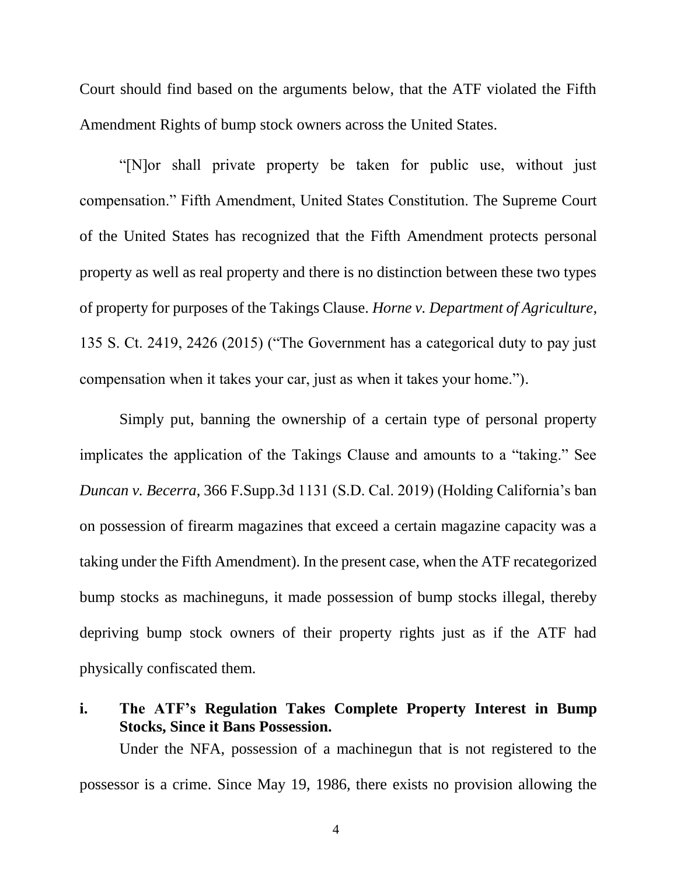Court should find based on the arguments below, that the ATF violated the Fifth Amendment Rights of bump stock owners across the United States.

"[N]or shall private property be taken for public use, without just compensation." Fifth Amendment, United States Constitution. The Supreme Court of the United States has recognized that the Fifth Amendment protects personal property as well as real property and there is no distinction between these two types of property for purposes of the Takings Clause. *Horne v. Department of Agriculture*, 135 S. Ct. 2419, 2426 (2015) ("The Government has a categorical duty to pay just compensation when it takes your car, just as when it takes your home.").

Simply put, banning the ownership of a certain type of personal property implicates the application of the Takings Clause and amounts to a "taking." See *Duncan v. Becerra*, 366 F.Supp.3d 1131 (S.D. Cal. 2019) (Holding California's ban on possession of firearm magazines that exceed a certain magazine capacity was a taking under the Fifth Amendment). In the present case, when the ATF recategorized bump stocks as machineguns, it made possession of bump stocks illegal, thereby depriving bump stock owners of their property rights just as if the ATF had physically confiscated them.

**i. The ATF's Regulation Takes Complete Property Interest in Bump Stocks, Since it Bans Possession.**  Under the NFA, possession of a machinegun that is not registered to the possessor is a crime. Since May 19, 1986, there exists no provision allowing the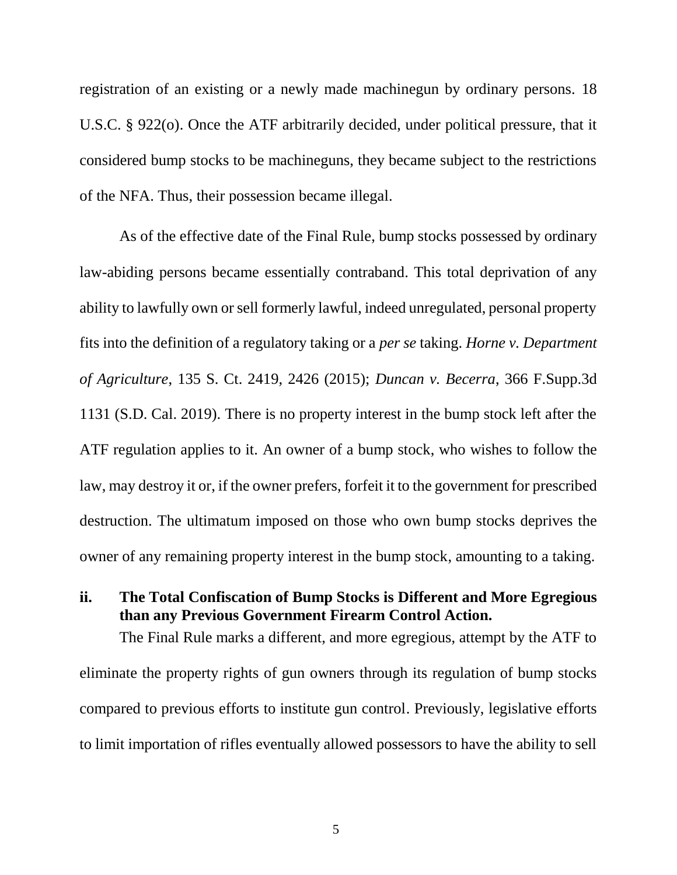registration of an existing or a newly made machinegun by ordinary persons. 18 U.S.C. § 922(o). Once the ATF arbitrarily decided, under political pressure, that it considered bump stocks to be machineguns, they became subject to the restrictions of the NFA. Thus, their possession became illegal.

As of the effective date of the Final Rule, bump stocks possessed by ordinary law-abiding persons became essentially contraband. This total deprivation of any ability to lawfully own or sell formerly lawful, indeed unregulated, personal property fits into the definition of a regulatory taking or a *per se* taking. *Horne v. Department of Agriculture*, 135 S. Ct. 2419, 2426 (2015); *Duncan v. Becerra*, 366 F.Supp.3d 1131 (S.D. Cal. 2019). There is no property interest in the bump stock left after the ATF regulation applies to it. An owner of a bump stock, who wishes to follow the law, may destroy it or, if the owner prefers, forfeit it to the government for prescribed destruction. The ultimatum imposed on those who own bump stocks deprives the owner of any remaining property interest in the bump stock, amounting to a taking.

#### **ii. The Total Confiscation of Bump Stocks is Different and More Egregious than any Previous Government Firearm Control Action.**

The Final Rule marks a different, and more egregious, attempt by the ATF to eliminate the property rights of gun owners through its regulation of bump stocks compared to previous efforts to institute gun control. Previously, legislative efforts to limit importation of rifles eventually allowed possessors to have the ability to sell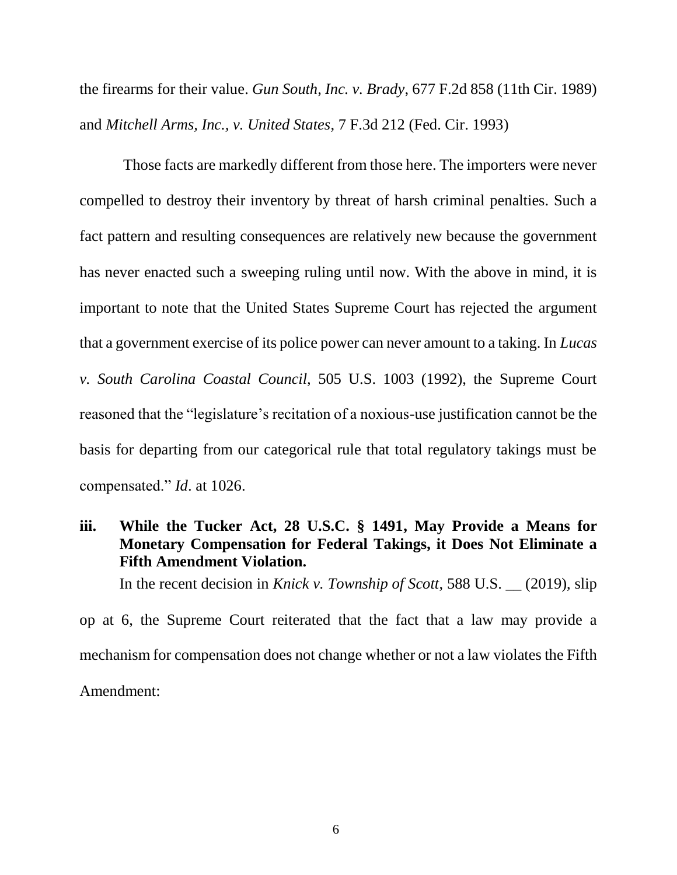the firearms for their value. *Gun South, Inc. v. Brady*, 677 F.2d 858 (11th Cir. 1989) and *Mitchell Arms, Inc., v. United States*, 7 F.3d 212 (Fed. Cir. 1993)

Those facts are markedly different from those here. The importers were never compelled to destroy their inventory by threat of harsh criminal penalties. Such a fact pattern and resulting consequences are relatively new because the government has never enacted such a sweeping ruling until now. With the above in mind, it is important to note that the United States Supreme Court has rejected the argument that a government exercise of its police power can never amount to a taking. In *Lucas v. South Carolina Coastal Council,* 505 U.S. 1003 (1992), the Supreme Court reasoned that the "legislature's recitation of a noxious-use justification cannot be the basis for departing from our categorical rule that total regulatory takings must be compensated." *Id*. at 1026.

**iii. While the Tucker Act, 28 U.S.C. § 1491, May Provide a Means for Monetary Compensation for Federal Takings, it Does Not Eliminate a Fifth Amendment Violation.** In the recent decision in *Knick v. Township of Scott*, 588 U.S.  $\qquad$  (2019), slip op at 6, the Supreme Court reiterated that the fact that a law may provide a

mechanism for compensation does not change whether or not a law violates the Fifth Amendment: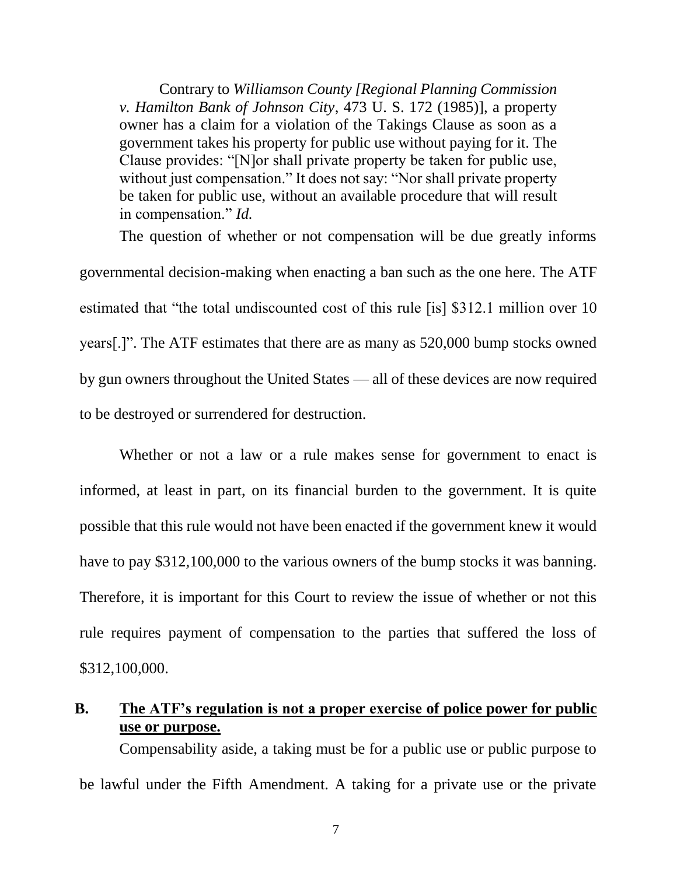Contrary to *Williamson County [Regional Planning Commission v. Hamilton Bank of Johnson City*, 473 U. S. 172 (1985)], a property owner has a claim for a violation of the Takings Clause as soon as a government takes his property for public use without paying for it. The Clause provides: "[N]or shall private property be taken for public use, without just compensation." It does not say: "Nor shall private property be taken for public use, without an available procedure that will result in compensation." *Id.*

The question of whether or not compensation will be due greatly informs governmental decision-making when enacting a ban such as the one here. The ATF estimated that "the total undiscounted cost of this rule [is] \$312.1 million over 10 years[.]". The ATF estimates that there are as many as 520,000 bump stocks owned by gun owners throughout the United States — all of these devices are now required to be destroyed or surrendered for destruction.

Whether or not a law or a rule makes sense for government to enact is informed, at least in part, on its financial burden to the government. It is quite possible that this rule would not have been enacted if the government knew it would have to pay \$312,100,000 to the various owners of the bump stocks it was banning. Therefore, it is important for this Court to review the issue of whether or not this rule requires payment of compensation to the parties that suffered the loss of \$312,100,000.

#### **B. The ATF's regulation is not a proper exercise of police power for public use or purpose.**

Compensability aside, a taking must be for a public use or public purpose to be lawful under the Fifth Amendment. A taking for a private use or the private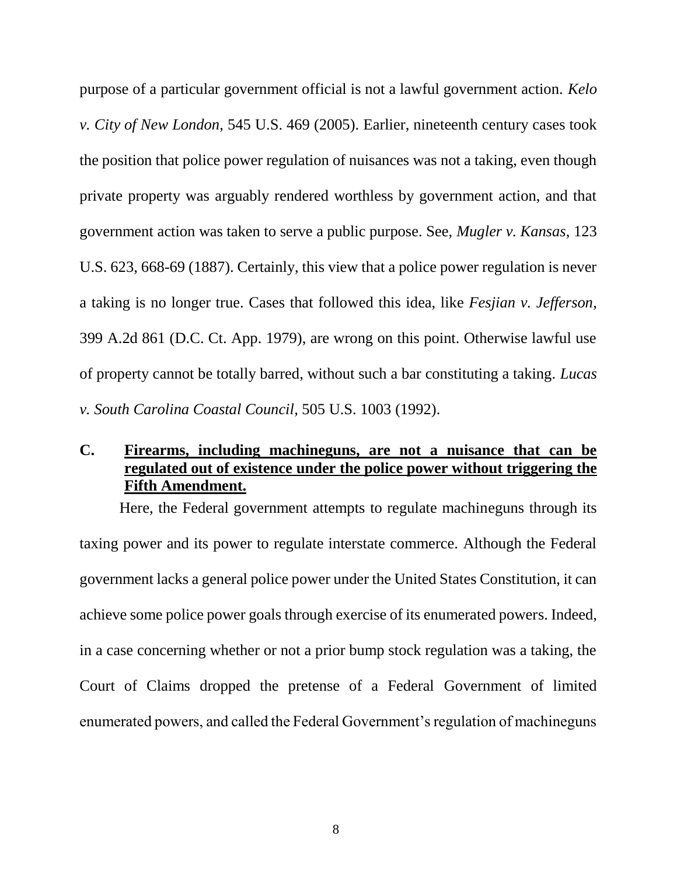purpose of a particular government official is not a lawful government action. *Kelo v. City of New London*, 545 U.S. 469 (2005). Earlier, nineteenth century cases took the position that police power regulation of nuisances was not a taking, even though private property was arguably rendered worthless by government action, and that government action was taken to serve a public purpose. See, *Mugler v. Kansas*, 123 U.S. 623, 668-69 (1887). Certainly, this view that a police power regulation is never a taking is no longer true. Cases that followed this idea, like *Fesjian v. Jefferson*, 399 A.2d 861 (D.C. Ct. App. 1979), are wrong on this point. Otherwise lawful use of property cannot be totally barred, without such a bar constituting a taking. *Lucas v. South Carolina Coastal Council*, 505 U.S. 1003 (1992).

#### **C. Firearms, including machineguns, are not a nuisance that can be regulated out of existence under the police power without triggering the Fifth Amendment.**

Here, the Federal government attempts to regulate machineguns through its taxing power and its power to regulate interstate commerce. Although the Federal government lacks a general police power under the United States Constitution, it can achieve some police power goals through exercise of its enumerated powers. Indeed, in a case concerning whether or not a prior bump stock regulation was a taking, the Court of Claims dropped the pretense of a Federal Government of limited enumerated powers, and called the Federal Government's regulation of machineguns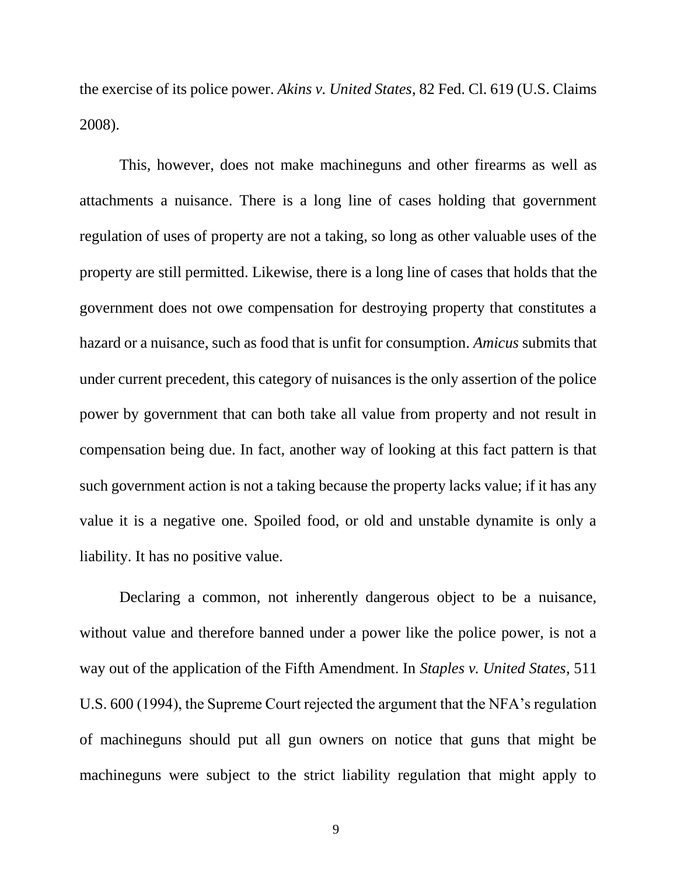the exercise of its police power. *Akins v. United States*, 82 Fed. Cl. 619 (U.S. Claims 2008).

This, however, does not make machineguns and other firearms as well as attachments a nuisance. There is a long line of cases holding that government regulation of uses of property are not a taking, so long as other valuable uses of the property are still permitted. Likewise, there is a long line of cases that holds that the government does not owe compensation for destroying property that constitutes a hazard or a nuisance, such as food that is unfit for consumption. *Amicus* submits that under current precedent, this category of nuisances is the only assertion of the police power by government that can both take all value from property and not result in compensation being due. In fact, another way of looking at this fact pattern is that such government action is not a taking because the property lacks value; if it has any value it is a negative one. Spoiled food, or old and unstable dynamite is only a liability. It has no positive value.

Declaring a common, not inherently dangerous object to be a nuisance, without value and therefore banned under a power like the police power, is not a way out of the application of the Fifth Amendment. In *Staples v. United States*, 511 U.S. 600 (1994), the Supreme Court rejected the argument that the NFA's regulation of machineguns should put all gun owners on notice that guns that might be machineguns were subject to the strict liability regulation that might apply to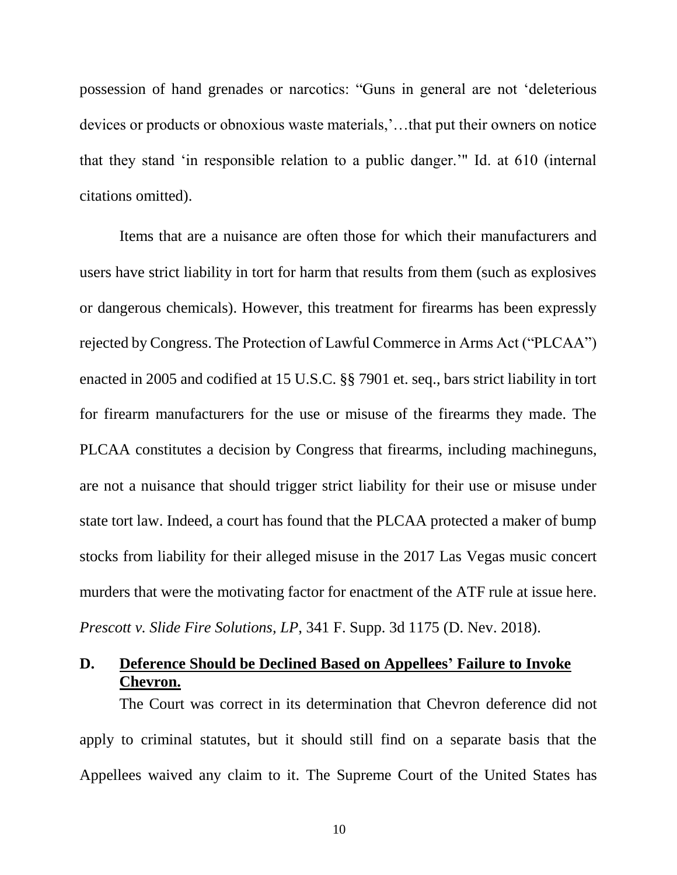possession of hand grenades or narcotics: "Guns in general are not 'deleterious devices or products or obnoxious waste materials,'…that put their owners on notice that they stand 'in responsible relation to a public danger.'" Id. at 610 (internal citations omitted).

Items that are a nuisance are often those for which their manufacturers and users have strict liability in tort for harm that results from them (such as explosives or dangerous chemicals). However, this treatment for firearms has been expressly rejected by Congress. The Protection of Lawful Commerce in Arms Act ("PLCAA") enacted in 2005 and codified at 15 U.S.C. §§ 7901 et. seq., bars strict liability in tort for firearm manufacturers for the use or misuse of the firearms they made. The PLCAA constitutes a decision by Congress that firearms, including machineguns, are not a nuisance that should trigger strict liability for their use or misuse under state tort law. Indeed, a court has found that the PLCAA protected a maker of bump stocks from liability for their alleged misuse in the 2017 Las Vegas music concert murders that were the motivating factor for enactment of the ATF rule at issue here. *Prescott v. Slide Fire Solutions, LP*, 341 F. Supp. 3d 1175 (D. Nev. 2018).

## **D. Deference Should be Declined Based on Appellees' Failure to Invoke Chevron.**

The Court was correct in its determination that Chevron deference did not apply to criminal statutes, but it should still find on a separate basis that the Appellees waived any claim to it. The Supreme Court of the United States has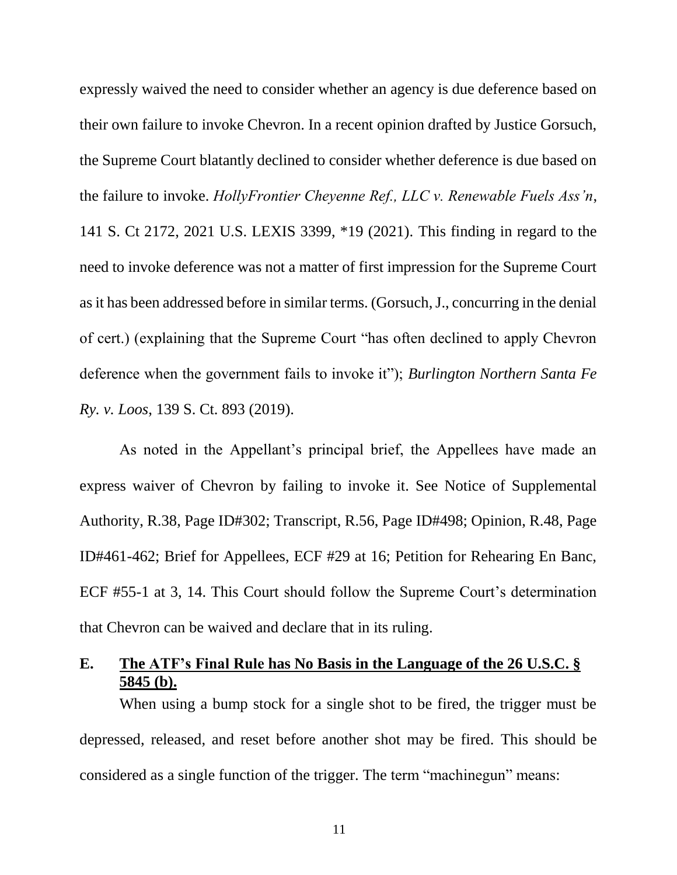expressly waived the need to consider whether an agency is due deference based on their own failure to invoke Chevron. In a recent opinion drafted by Justice Gorsuch, the Supreme Court blatantly declined to consider whether deference is due based on the failure to invoke. *HollyFrontier Cheyenne Ref., LLC v. Renewable Fuels Ass'n*, 141 S. Ct 2172, 2021 U.S. LEXIS 3399, \*19 (2021). This finding in regard to the need to invoke deference was not a matter of first impression for the Supreme Court as it has been addressed before in similar terms. (Gorsuch, J., concurring in the denial of cert.) (explaining that the Supreme Court "has often declined to apply Chevron deference when the government fails to invoke it"); *Burlington Northern Santa Fe Ry. v. Loos*, 139 S. Ct. 893 (2019).

As noted in the Appellant's principal brief, the Appellees have made an express waiver of Chevron by failing to invoke it. See Notice of Supplemental Authority, R.38, Page ID#302; Transcript, R.56, Page ID#498; Opinion, R.48, Page ID#461-462; Brief for Appellees, ECF #29 at 16; Petition for Rehearing En Banc, ECF #55-1 at 3, 14. This Court should follow the Supreme Court's determination that Chevron can be waived and declare that in its ruling.

#### **E. The ATF's Final Rule has No Basis in the Language of the 26 U.S.C. § 5845 (b).**

When using a bump stock for a single shot to be fired, the trigger must be depressed, released, and reset before another shot may be fired. This should be considered as a single function of the trigger. The term "machinegun" means: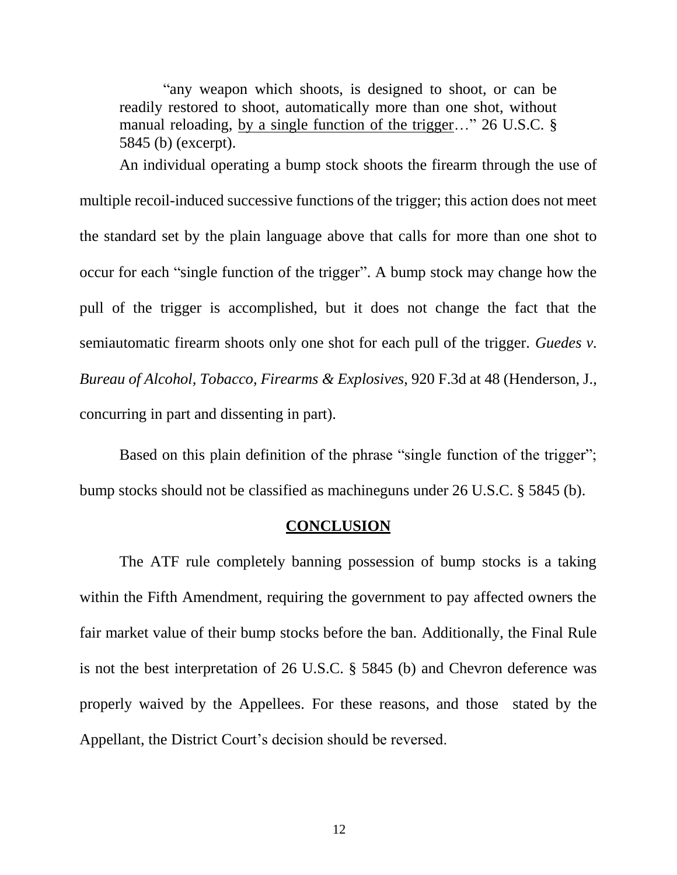"any weapon which shoots, is designed to shoot, or can be readily restored to shoot, automatically more than one shot, without manual reloading, by a single function of the trigger…" 26 U.S.C. § 5845 (b) (excerpt).

An individual operating a bump stock shoots the firearm through the use of multiple recoil-induced successive functions of the trigger; this action does not meet the standard set by the plain language above that calls for more than one shot to occur for each "single function of the trigger". A bump stock may change how the pull of the trigger is accomplished, but it does not change the fact that the semiautomatic firearm shoots only one shot for each pull of the trigger. *Guedes v. Bureau of Alcohol, Tobacco, Firearms & Explosives*, 920 F.3d at 48 (Henderson, J., concurring in part and dissenting in part).

Based on this plain definition of the phrase "single function of the trigger"; bump stocks should not be classified as machineguns under 26 U.S.C. § 5845 (b).

#### **CONCLUSION**

The ATF rule completely banning possession of bump stocks is a taking within the Fifth Amendment, requiring the government to pay affected owners the fair market value of their bump stocks before the ban. Additionally, the Final Rule is not the best interpretation of 26 U.S.C. § 5845 (b) and Chevron deference was properly waived by the Appellees. For these reasons, and those stated by the Appellant, the District Court's decision should be reversed.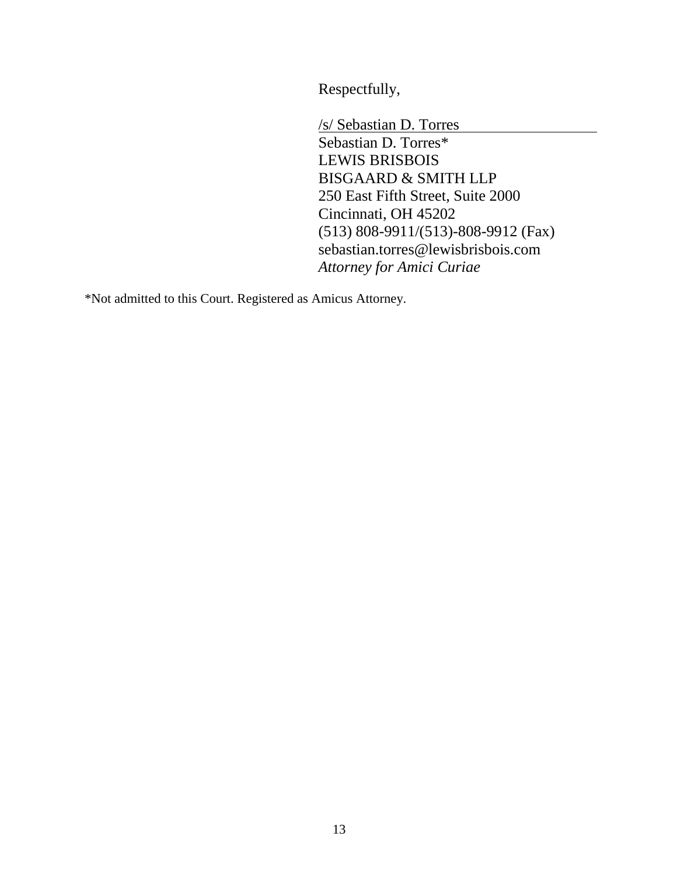Respectfully,

/s/ Sebastian D. Torres

Sebastian D. Torres\* LEWIS BRISBOIS BISGAARD & SMITH LLP 250 East Fifth Street, Suite 2000 Cincinnati, OH 45202 (513) 808-9911/(513)-808-9912 (Fax) sebastian.torres@lewisbrisbois.com *Attorney for Amici Curiae*

\*Not admitted to this Court. Registered as Amicus Attorney.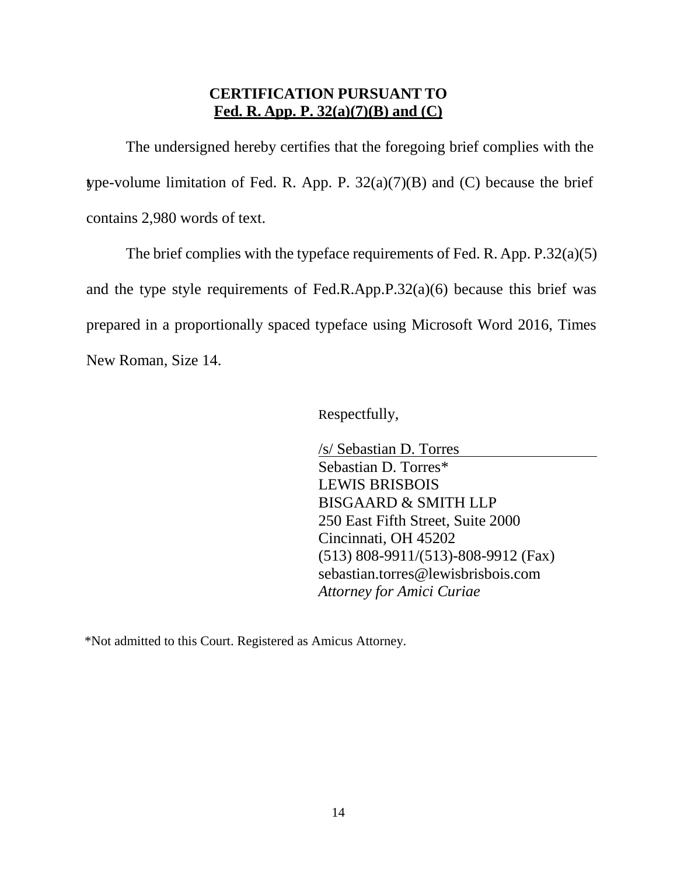#### **CERTIFICATION PURSUANT TO Fed. R. App. P. 32(a)(7)(B) and (C)**

The undersigned hereby certifies that the foregoing brief complies with the type-volume limitation of Fed. R. App. P.  $32(a)(7)(B)$  and (C) because the brief contains 2,980 words of text.

The brief complies with the typeface requirements of Fed. R. App. P.32(a)(5) and the type style requirements of Fed.R.App.P.32(a)(6) because this brief was prepared in a proportionally spaced typeface using Microsoft Word 2016, Times New Roman, Size 14.

Respectfully,

/s/ Sebastian D. Torres Sebastian D. Torres\* LEWIS BRISBOIS BISGAARD & SMITH LLP 250 East Fifth Street, Suite 2000 Cincinnati, OH 45202 (513) 808-9911/(513)-808-9912 (Fax) sebastian.torres@lewisbrisbois.com *Attorney for Amici Curiae*

\*Not admitted to this Court. Registered as Amicus Attorney.